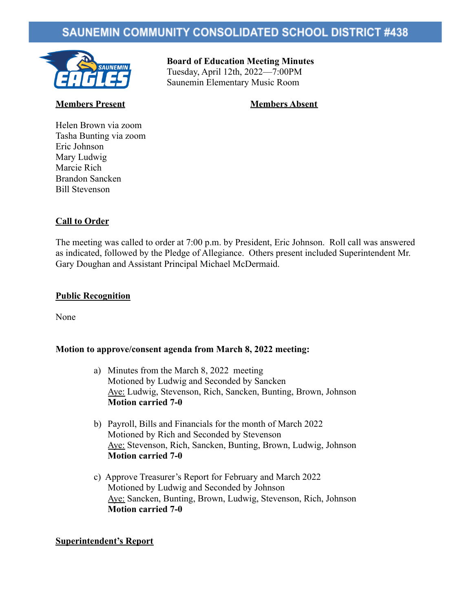# **SAUNEMIN COMMUNITY CONSOLIDATED SCHOOL DISTRICT #438**



# **Board of Education Meeting Minutes** Tuesday, April 12th, 2022—7:00PM

Saunemin Elementary Music Room

# **Members Present Members Absent**

Helen Brown via zoom Tasha Bunting via zoom Eric Johnson Mary Ludwig Marcie Rich Brandon Sancken Bill Stevenson

# **Call to Order**

The meeting was called to order at 7:00 p.m. by President, Eric Johnson. Roll call was answered as indicated, followed by the Pledge of Allegiance. Others present included Superintendent Mr. Gary Doughan and Assistant Principal Michael McDermaid.

## **Public Recognition**

None

### **Motion to approve/consent agenda from March 8, 2022 meeting:**

- a) Minutes from the March 8, 2022 meeting Motioned by Ludwig and Seconded by Sancken Aye: Ludwig, Stevenson, Rich, Sancken, Bunting, Brown, Johnson **Motion carried 7-0**
- b) Payroll, Bills and Financials for the month of March 2022 Motioned by Rich and Seconded by Stevenson Aye: Stevenson, Rich, Sancken, Bunting, Brown, Ludwig, Johnson **Motion carried 7-0**
- c) Approve Treasurer's Report for February and March 2022 Motioned by Ludwig and Seconded by Johnson Aye: Sancken, Bunting, Brown, Ludwig, Stevenson, Rich, Johnson **Motion carried 7-0**

# **Superintendent's Report**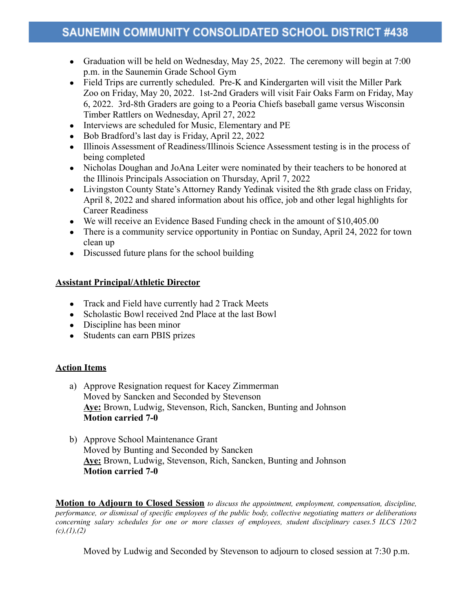- Graduation will be held on Wednesday, May 25, 2022. The ceremony will begin at 7:00 p.m. in the Saunemin Grade School Gym
- Field Trips are currently scheduled. Pre-K and Kindergarten will visit the Miller Park Zoo on Friday, May 20, 2022. 1st-2nd Graders will visit Fair Oaks Farm on Friday, May 6, 2022. 3rd-8th Graders are going to a Peoria Chiefs baseball game versus Wisconsin Timber Rattlers on Wednesday, April 27, 2022
- Interviews are scheduled for Music, Elementary and PE
- Bob Bradford's last day is Friday, April 22, 2022
- Illinois Assessment of Readiness/Illinois Science Assessment testing is in the process of being completed
- Nicholas Doughan and JoAna Leiter were nominated by their teachers to be honored at the Illinois Principals Association on Thursday, April 7, 2022
- Livingston County State's Attorney Randy Yedinak visited the 8th grade class on Friday, April 8, 2022 and shared information about his office, job and other legal highlights for Career Readiness
- We will receive an Evidence Based Funding check in the amount of \$10,405.00
- There is a community service opportunity in Pontiac on Sunday, April 24, 2022 for town clean up
- Discussed future plans for the school building

# **Assistant Principal/Athletic Director**

- Track and Field have currently had 2 Track Meets
- Scholastic Bowl received 2nd Place at the last Bowl
- Discipline has been minor
- Students can earn PBIS prizes

# **Action Items**

- a) Approve Resignation request for Kacey Zimmerman Moved by Sancken and Seconded by Stevenson **Aye:** Brown, Ludwig, Stevenson, Rich, Sancken, Bunting and Johnson **Motion carried 7-0**
- b) Approve School Maintenance Grant Moved by Bunting and Seconded by Sancken **Aye:** Brown, Ludwig, Stevenson, Rich, Sancken, Bunting and Johnson **Motion carried 7-0**

**Motion to Adjourn to Closed Session** *to discuss the appointment, employment, compensation, discipline, performance, or dismissal of specific employees of the public body, collective negotiating matters or deliberations concerning salary schedules for one or more classes of employees, student disciplinary cases.5 ILCS 120/2 (c),(1),(2)*

Moved by Ludwig and Seconded by Stevenson to adjourn to closed session at 7:30 p.m.